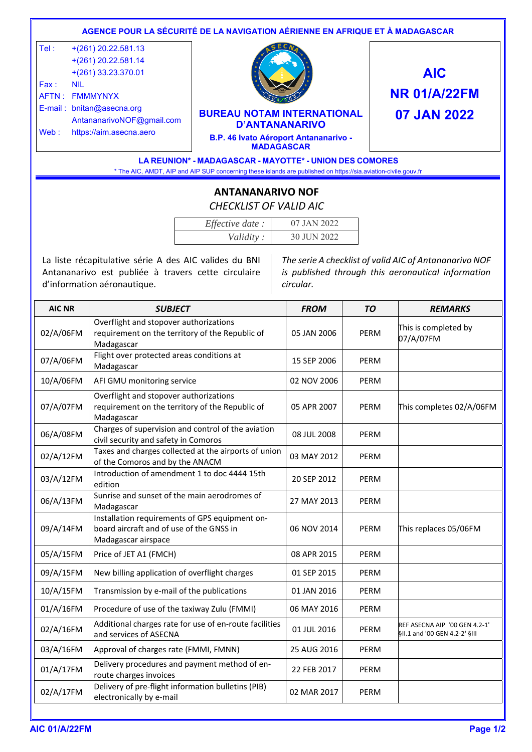|      |                                                                         | AGENCE POUR LA SÉCURITÉ DE LA NAVIGATION AÉRIENNE EN AFRIQUE ET À MADAGASCAR                                                                                              |                     |  |
|------|-------------------------------------------------------------------------|---------------------------------------------------------------------------------------------------------------------------------------------------------------------------|---------------------|--|
| Tel: | $+(261)$ 20.22.581.13<br>$+(261)$ 20.22.581.14<br>$+(261)$ 33.23.370.01 |                                                                                                                                                                           | <b>AIC</b>          |  |
| Fax: | NII<br>AFTN: FMMMYNYX                                                   |                                                                                                                                                                           | <b>NR 01/A/22FM</b> |  |
|      | $E$ -mail: bnitan@asecna.org<br>AntananarivoNOF@gmail.com               | <b>BUREAU NOTAM INTERNATIONAL</b><br><b>D'ANTANANARIVO</b>                                                                                                                | 07 JAN 2022         |  |
| Web: | https://aim.asecna.aero                                                 | B.P. 46 Ivato Aéroport Antananarivo -<br><b>MADAGASCAR</b>                                                                                                                |                     |  |
|      |                                                                         | LA REUNION* - MADAGASCAR - MAYOTTE* - UNION DES COMORES<br>* The AIC, AMDT, AIP and AIP SUP concerning these islands are published on https://sia.aviation-civile.gouv.fr |                     |  |

## **ANTANANARIVO NOF**  *CHECKLIST OF VALID AIC*

| Effective date: | 07 JAN 2022 |
|-----------------|-------------|
| Validity:       | 30 JUN 2022 |

La liste récapitulative série A des AIC valides du BNI Antananarivo est publiée à travers cette circulaire d'information aéronautique.

*The serie A checklist of valid AIC of Antananarivo NOF is published through this aeronautical information circular.* 

| <b>AIC NR</b> | <b>SUBJECT</b>                                                                                                    | <b>FROM</b> | <b>TO</b>   | <b>REMARKS</b>                                                 |
|---------------|-------------------------------------------------------------------------------------------------------------------|-------------|-------------|----------------------------------------------------------------|
| 02/A/06FM     | Overflight and stopover authorizations<br>requirement on the territory of the Republic of<br>Madagascar           | 05 JAN 2006 | <b>PERM</b> | This is completed by<br>07/A/07FM                              |
| 07/A/06FM     | Flight over protected areas conditions at<br>Madagascar                                                           | 15 SEP 2006 | PERM        |                                                                |
| 10/A/06FM     | AFI GMU monitoring service                                                                                        | 02 NOV 2006 | PERM        |                                                                |
| 07/A/07FM     | Overflight and stopover authorizations<br>requirement on the territory of the Republic of<br>Madagascar           | 05 APR 2007 | PERM        | This completes 02/A/06FM                                       |
| 06/A/08FM     | Charges of supervision and control of the aviation<br>civil security and safety in Comoros                        | 08 JUL 2008 | PERM        |                                                                |
| 02/A/12FM     | Taxes and charges collected at the airports of union<br>of the Comoros and by the ANACM                           | 03 MAY 2012 | PERM        |                                                                |
| 03/A/12FM     | Introduction of amendment 1 to doc 4444 15th<br>edition                                                           | 20 SEP 2012 | <b>PERM</b> |                                                                |
| 06/A/13FM     | Sunrise and sunset of the main aerodromes of<br>Madagascar                                                        | 27 MAY 2013 | PERM        |                                                                |
| 09/A/14FM     | Installation requirements of GPS equipment on-<br>board aircraft and of use of the GNSS in<br>Madagascar airspace | 06 NOV 2014 | PERM        | This replaces 05/06FM                                          |
| 05/A/15FM     | Price of JET A1 (FMCH)                                                                                            | 08 APR 2015 | <b>PERM</b> |                                                                |
| 09/A/15FM     | New billing application of overflight charges                                                                     | 01 SEP 2015 | PERM        |                                                                |
| 10/A/15FM     | Transmission by e-mail of the publications                                                                        | 01 JAN 2016 | <b>PERM</b> |                                                                |
| 01/A/16FM     | Procedure of use of the taxiway Zulu (FMMI)                                                                       | 06 MAY 2016 | <b>PERM</b> |                                                                |
| 02/A/16FM     | Additional charges rate for use of en-route facilities<br>and services of ASECNA                                  | 01 JUL 2016 | <b>PERM</b> | REF ASECNA AIP '00 GEN 4.2-1'<br>§II.1 and '00 GEN 4.2-2' §III |
| 03/A/16FM     | Approval of charges rate (FMMI, FMNN)                                                                             | 25 AUG 2016 | PERM        |                                                                |
| 01/A/17FM     | Delivery procedures and payment method of en-<br>route charges invoices                                           | 22 FEB 2017 | PERM        |                                                                |
| 02/A/17FM     | Delivery of pre-flight information bulletins (PIB)<br>electronically by e-mail                                    | 02 MAR 2017 | PERM        |                                                                |